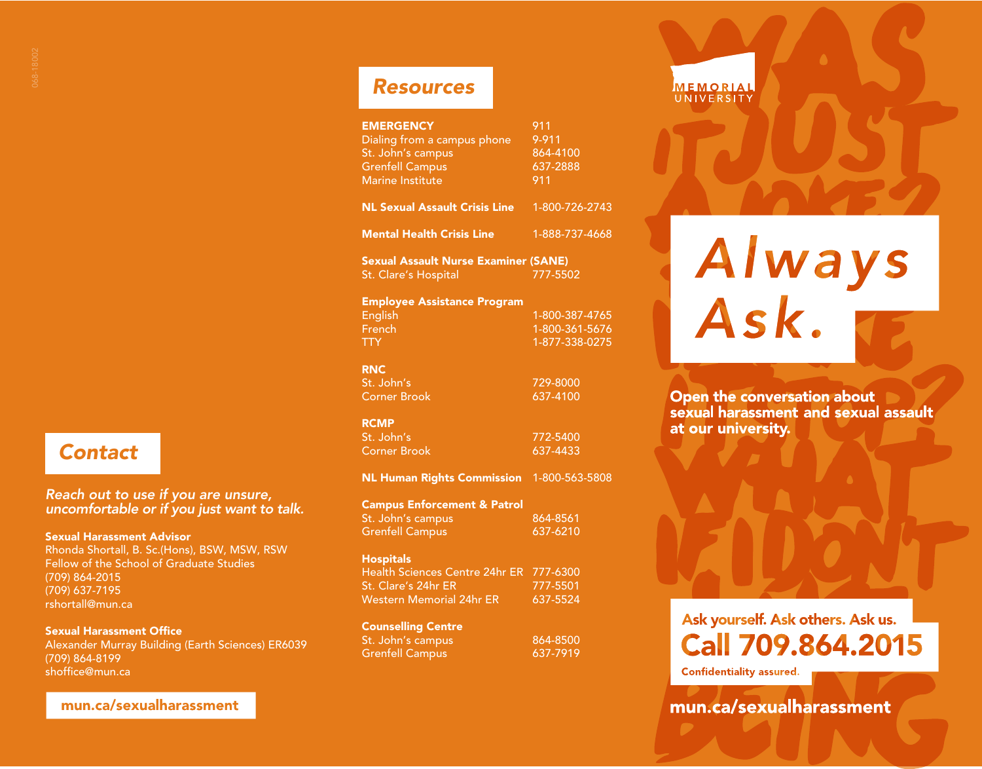## *Contact*

## *Reach out to use if you are unsure, uncomfortable or if you just want to talk.*

#### Sexual Harassment Advisor

Rhonda Shortall, B. Sc.(Hons), BSW, MSW, RSW Fellow of the School of Graduate Studies (709) 864-2015 (709) 637-7195 rshortall@mun.ca

## Sexual Harassment Office

Alexander Murray Building (Earth Sciences) ER6039 (709) 864-8199 shoffice@mun.ca

## mun.ca/sexualharassment

## *Resources*

| <b>EMERGENCY</b><br>Dialing from a campus phone<br>St. John's campus<br><b>Grenfell Campus</b><br>Marine Institute | 911<br>9-911<br>864-4100<br>637-2888<br>911 |
|--------------------------------------------------------------------------------------------------------------------|---------------------------------------------|
| <b>NL Sexual Assault Crisis Line</b>                                                                               | 1-800-726-2743                              |
| <b>Mental Health Crisis Line</b>                                                                                   | 1-888-737-4668                              |
| <b>Sexual Assault Nurse Examiner (SANE)</b><br>777-5502<br>St. Clare's Hospital                                    |                                             |
| <b>Employee Assistance Program</b>                                                                                 |                                             |
| English                                                                                                            | 1-800-387-4765                              |
| French                                                                                                             | 1-800-361-5676                              |

TTY 1-877-338-0275

## RNC

St. John's 729-8000 Corner Brook 637-4100

#### RCMP

St. John's 2012 - 2022 - 2022 - 2022 - 2022 - 2022 - 2022 - 2022 - 2022 - 2022 - 2022 - 2022 - 2022 - 2022 - 2<br>- 2022 - 2022 - 2022 - 2022 - 2022 - 2022 - 2022 - 2022 - 2022 - 2022 - 2022 - 2022 - 2022 - 2022 - 2022 - 20<br>-Corner Brook

NL Human Rights Commission 1-800-563-5808

#### Campus Enforcement & Patrol St. John's campus 864-8561

Grenfell Campus 637-6210

## **Hospitals**

| Health Sciences Centre 24hr ER 777-6300 |          |
|-----------------------------------------|----------|
| St. Clare's 24hr ER                     | 777-5501 |
| Western Memorial 24hr ER                | 637-5524 |
| Counsellina Centre                      |          |

| St. John's campus      | 864-8500 |
|------------------------|----------|
| <b>Grenfell Campus</b> | 637-7919 |

# Always<br>Ask.

**MEMORIAL**<br>UNIVERSITY

Open the conversation about sexual harassment and sexual assault at our university.

# Ask yourself. Ask others. Ask us. **Call 709.864.2015**

**Confidentiality assured.** 

mun.ca/sexualharassment